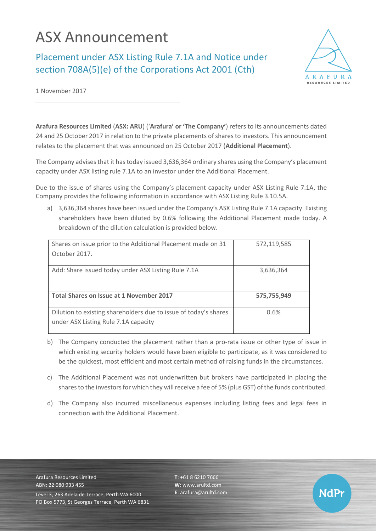## ASX Announcement

Placement under ASX Listing Rule 7.1A and Notice under section 708A(5)(e) of the Corporations Act 2001 (Cth)



NdPr

1 November 2017

**Arafura Resources Limited** (**ASX: ARU**) ('**Arafura' or 'The Company'**) refers to its announcements dated 24 and 25 October 2017 in relation to the private placements of shares to investors. This announcement relates to the placement that was announced on 25 October 2017 (**Additional Placement**).

The Company advises that it has today issued 3,636,364 ordinary shares using the Company's placement capacity under ASX listing rule 7.1A to an investor under the Additional Placement.

Due to the issue of shares using the Company's placement capacity under ASX Listing Rule 7.1A, the Company provides the following information in accordance with ASX Listing Rule 3.10.5A.

a) 3,636,364 shares have been issued under the Company's ASX Listing Rule 7.1A capacity. Existing shareholders have been diluted by 0.6% following the Additional Placement made today. A breakdown of the dilution calculation is provided below.

| Shares on issue prior to the Additional Placement made on 31     | 572,119,585 |
|------------------------------------------------------------------|-------------|
| October 2017.                                                    |             |
|                                                                  |             |
| Add: Share issued today under ASX Listing Rule 7.1A              | 3,636,364   |
|                                                                  |             |
| Total Shares on Issue at 1 November 2017                         | 575,755,949 |
|                                                                  |             |
| Dilution to existing shareholders due to issue of today's shares | 0.6%        |
| under ASX Listing Rule 7.1A capacity                             |             |
|                                                                  |             |

- b) The Company conducted the placement rather than a pro-rata issue or other type of issue in which existing security holders would have been eligible to participate, as it was considered to be the quickest, most efficient and most certain method of raising funds in the circumstances.
- c) The Additional Placement was not underwritten but brokers have participated in placing the shares to the investors for which they will receive a fee of 5% (plus GST) of the funds contributed.
- d) The Company also incurred miscellaneous expenses including listing fees and legal fees in connection with the Additional Placement.

Arafura Resources Limited ABN: 22 080 933 455 Level 3, 263 Adelaide Terrace, Perth WA 6000 PO Box 5773, St Georges Terrace, Perth WA 6831 **T**: +61 8 6210 7666 **W**: [www.arultd.com](http://www.arultd.com/) **E**[: arafura@arultd.com](mailto:arafura@arultd.com)